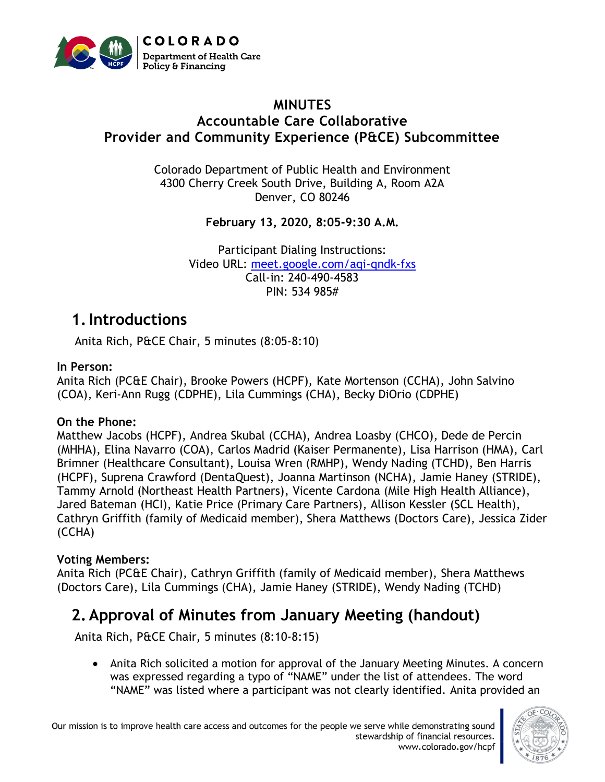

#### **MINUTES Accountable Care Collaborative Provider and Community Experience (P&CE) Subcommittee**

Colorado Department of Public Health and Environment 4300 Cherry Creek South Drive, Building A, Room A2A Denver, CO 80246

**February 13, 2020, 8:05-9:30 A.M.**

Participant Dialing Instructions: Video URL: [meet.google.com/aqi-qndk-fxs](http://meet.google.com/aqi-qndk-fxs) Call-in: 240-490-4583 PIN: 534 985#

## **1.Introductions**

Anita Rich, P&CE Chair, 5 minutes (8:05-8:10)

#### **In Person:**

Anita Rich (PC&E Chair), Brooke Powers (HCPF), Kate Mortenson (CCHA), John Salvino (COA), Keri-Ann Rugg (CDPHE), Lila Cummings (CHA), Becky DiOrio (CDPHE)

#### **On the Phone:**

Matthew Jacobs (HCPF), Andrea Skubal (CCHA), Andrea Loasby (CHCO), Dede de Percin (MHHA), Elina Navarro (COA), Carlos Madrid (Kaiser Permanente), Lisa Harrison (HMA), Carl Brimner (Healthcare Consultant), Louisa Wren (RMHP), Wendy Nading (TCHD), Ben Harris (HCPF), Suprena Crawford (DentaQuest), Joanna Martinson (NCHA), Jamie Haney (STRIDE), Tammy Arnold (Northeast Health Partners), Vicente Cardona (Mile High Health Alliance), Jared Bateman (HCI), Katie Price (Primary Care Partners), Allison Kessler (SCL Health), Cathryn Griffith (family of Medicaid member), Shera Matthews (Doctors Care), Jessica Zider (CCHA)

#### **Voting Members:**

Anita Rich (PC&E Chair), Cathryn Griffith (family of Medicaid member), Shera Matthews (Doctors Care), Lila Cummings (CHA), Jamie Haney (STRIDE), Wendy Nading (TCHD)

# **2. Approval of Minutes from January Meeting (handout)**

Anita Rich, P&CE Chair, 5 minutes (8:10-8:15)

• Anita Rich solicited a motion for approval of the January Meeting Minutes. A concern was expressed regarding a typo of "NAME" under the list of attendees. The word "NAME" was listed where a participant was not clearly identified. Anita provided an

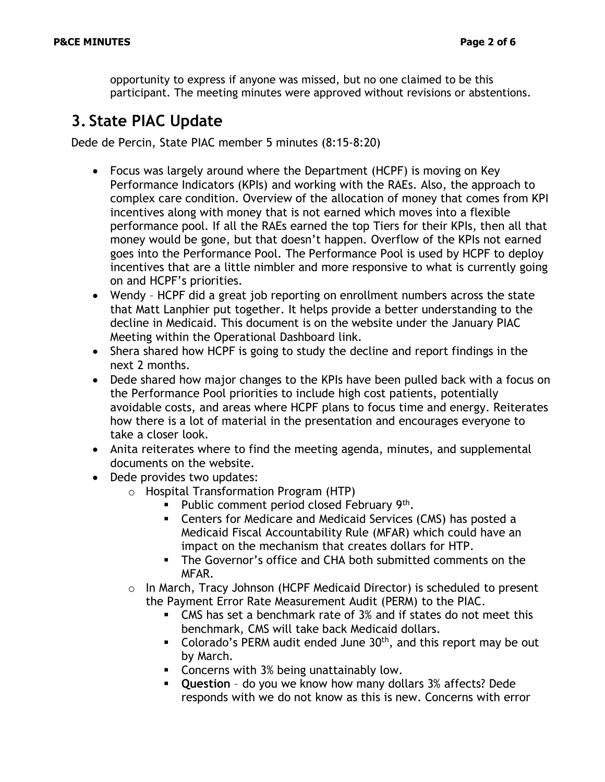opportunity to express if anyone was missed, but no one claimed to be this participant. The meeting minutes were approved without revisions or abstentions.

## **3. State PIAC Update**

Dede de Percin, State PIAC member 5 minutes (8:15-8:20)

- Focus was largely around where the Department (HCPF) is moving on Key Performance Indicators (KPIs) and working with the RAEs. Also, the approach to complex care condition. Overview of the allocation of money that comes from KPI incentives along with money that is not earned which moves into a flexible performance pool. If all the RAEs earned the top Tiers for their KPIs, then all that money would be gone, but that doesn't happen. Overflow of the KPIs not earned goes into the Performance Pool. The Performance Pool is used by HCPF to deploy incentives that are a little nimbler and more responsive to what is currently going on and HCPF's priorities.
- Wendy HCPF did a great job reporting on enrollment numbers across the state that Matt Lanphier put together. It helps provide a better understanding to the decline in Medicaid. This document is on the website under the January PIAC Meeting within the Operational Dashboard link.
- Shera shared how HCPF is going to study the decline and report findings in the next 2 months.
- Dede shared how major changes to the KPIs have been pulled back with a focus on the Performance Pool priorities to include high cost patients, potentially avoidable costs, and areas where HCPF plans to focus time and energy. Reiterates how there is a lot of material in the presentation and encourages everyone to take a closer look.
- Anita reiterates where to find the meeting agenda, minutes, and supplemental documents on the website.
- Dede provides two updates:
	- o Hospital Transformation Program (HTP)
		- Public comment period closed February 9<sup>th</sup>.
		- Centers for Medicare and Medicaid Services (CMS) has posted a Medicaid Fiscal Accountability Rule (MFAR) which could have an impact on the mechanism that creates dollars for HTP.
		- The Governor's office and CHA both submitted comments on the MFAR.
	- o In March, Tracy Johnson (HCPF Medicaid Director) is scheduled to present the Payment Error Rate Measurement Audit (PERM) to the PIAC.
		- CMS has set a benchmark rate of 3% and if states do not meet this benchmark, CMS will take back Medicaid dollars.
		- **•** Colorado's PERM audit ended June  $30<sup>th</sup>$ , and this report may be out by March.
		- Concerns with 3% being unattainably low.
		- **Question** do you we know how many dollars 3% affects? Dede responds with we do not know as this is new. Concerns with error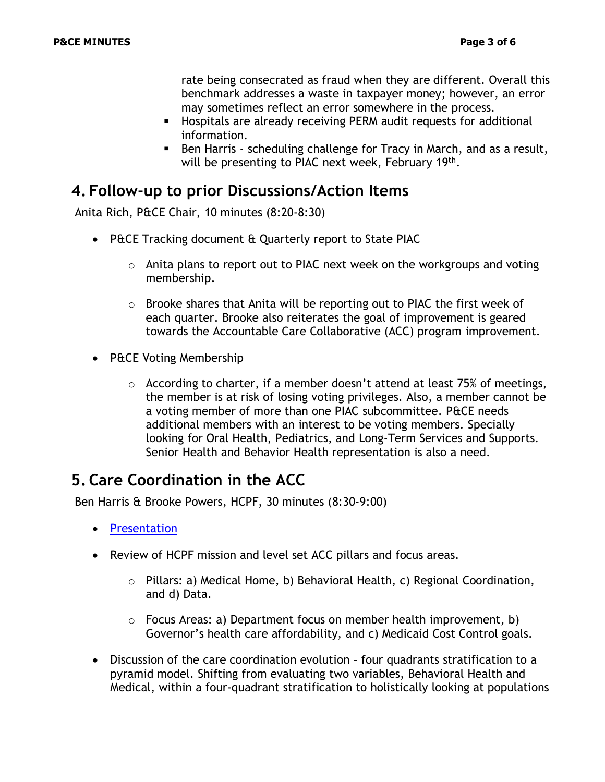rate being consecrated as fraud when they are different. Overall this benchmark addresses a waste in taxpayer money; however, an error may sometimes reflect an error somewhere in the process.

- **EXP** Hospitals are already receiving PERM audit requests for additional information.
- Ben Harris scheduling challenge for Tracy in March, and as a result, will be presenting to PIAC next week, February 19<sup>th</sup>.

#### **4. Follow-up to prior Discussions/Action Items**

Anita Rich, P&CE Chair, 10 minutes (8:20-8:30)

- P&CE Tracking document & Quarterly report to State PIAC
	- o Anita plans to report out to PIAC next week on the workgroups and voting membership.
	- $\circ$  Brooke shares that Anita will be reporting out to PIAC the first week of each quarter. Brooke also reiterates the goal of improvement is geared towards the Accountable Care Collaborative (ACC) program improvement.
- P&CE Voting Membership
	- o According to charter, if a member doesn't attend at least 75% of meetings, the member is at risk of losing voting privileges. Also, a member cannot be a voting member of more than one PIAC subcommittee. P&CE needs additional members with an interest to be voting members. Specially looking for Oral Health, Pediatrics, and Long-Term Services and Supports. Senior Health and Behavior Health representation is also a need.

### **5. Care Coordination in the ACC**

Ben Harris & Brooke Powers, HCPF, 30 minutes (8:30-9:00)

- [Presentation](https://www.colorado.gov/pacific/sites/default/files/PCE%20Care%20Coordination%20and%20ACC%20Management%20Handout%20February%202020.pdf)
- Review of HCPF mission and level set ACC pillars and focus areas.
	- o Pillars: a) Medical Home, b) Behavioral Health, c) Regional Coordination, and d) Data.
	- $\circ$  Focus Areas: a) Department focus on member health improvement, b) Governor's health care affordability, and c) Medicaid Cost Control goals.
- Discussion of the care coordination evolution four quadrants stratification to a pyramid model. Shifting from evaluating two variables, Behavioral Health and Medical, within a four-quadrant stratification to holistically looking at populations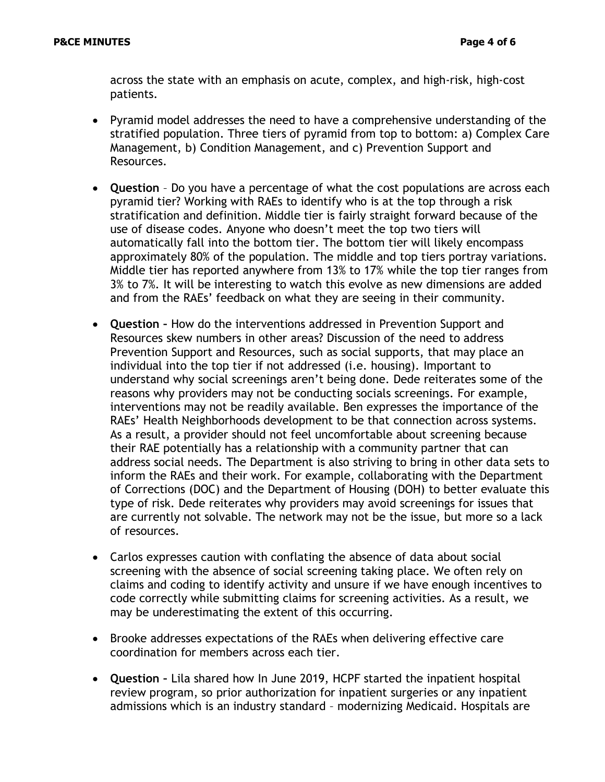across the state with an emphasis on acute, complex, and high-risk, high-cost patients.

- Pyramid model addresses the need to have a comprehensive understanding of the stratified population. Three tiers of pyramid from top to bottom: a) Complex Care Management, b) Condition Management, and c) Prevention Support and Resources.
- **Question** Do you have a percentage of what the cost populations are across each pyramid tier? Working with RAEs to identify who is at the top through a risk stratification and definition. Middle tier is fairly straight forward because of the use of disease codes. Anyone who doesn't meet the top two tiers will automatically fall into the bottom tier. The bottom tier will likely encompass approximately 80% of the population. The middle and top tiers portray variations. Middle tier has reported anywhere from 13% to 17% while the top tier ranges from 3% to 7%. It will be interesting to watch this evolve as new dimensions are added and from the RAEs' feedback on what they are seeing in their community.
- **Question –** How do the interventions addressed in Prevention Support and Resources skew numbers in other areas? Discussion of the need to address Prevention Support and Resources, such as social supports, that may place an individual into the top tier if not addressed (i.e. housing). Important to understand why social screenings aren't being done. Dede reiterates some of the reasons why providers may not be conducting socials screenings. For example, interventions may not be readily available. Ben expresses the importance of the RAEs' Health Neighborhoods development to be that connection across systems. As a result, a provider should not feel uncomfortable about screening because their RAE potentially has a relationship with a community partner that can address social needs. The Department is also striving to bring in other data sets to inform the RAEs and their work. For example, collaborating with the Department of Corrections (DOC) and the Department of Housing (DOH) to better evaluate this type of risk. Dede reiterates why providers may avoid screenings for issues that are currently not solvable. The network may not be the issue, but more so a lack of resources.
- Carlos expresses caution with conflating the absence of data about social screening with the absence of social screening taking place. We often rely on claims and coding to identify activity and unsure if we have enough incentives to code correctly while submitting claims for screening activities. As a result, we may be underestimating the extent of this occurring.
- Brooke addresses expectations of the RAEs when delivering effective care coordination for members across each tier.
- **Question –** Lila shared how In June 2019, HCPF started the inpatient hospital review program, so prior authorization for inpatient surgeries or any inpatient admissions which is an industry standard – modernizing Medicaid. Hospitals are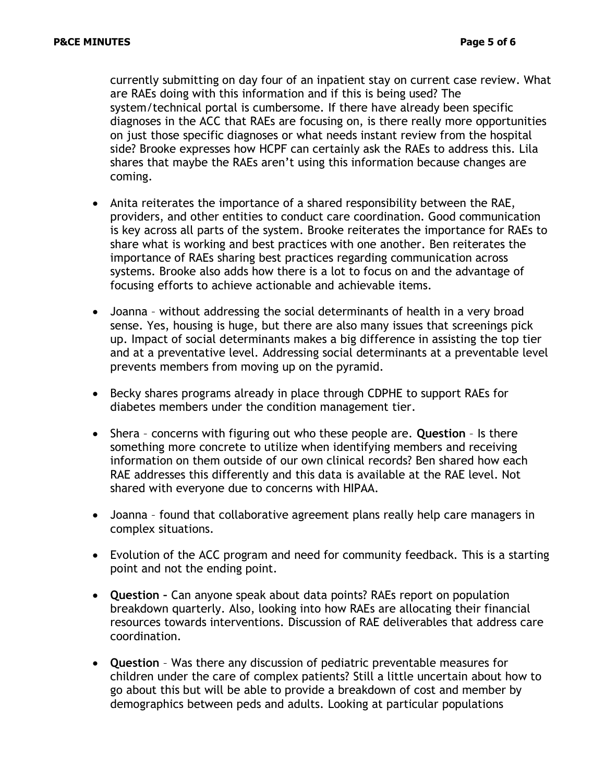currently submitting on day four of an inpatient stay on current case review. What are RAEs doing with this information and if this is being used? The system/technical portal is cumbersome. If there have already been specific diagnoses in the ACC that RAEs are focusing on, is there really more opportunities on just those specific diagnoses or what needs instant review from the hospital side? Brooke expresses how HCPF can certainly ask the RAEs to address this. Lila shares that maybe the RAEs aren't using this information because changes are coming.

- Anita reiterates the importance of a shared responsibility between the RAE, providers, and other entities to conduct care coordination. Good communication is key across all parts of the system. Brooke reiterates the importance for RAEs to share what is working and best practices with one another. Ben reiterates the importance of RAEs sharing best practices regarding communication across systems. Brooke also adds how there is a lot to focus on and the advantage of focusing efforts to achieve actionable and achievable items.
- Joanna without addressing the social determinants of health in a very broad sense. Yes, housing is huge, but there are also many issues that screenings pick up. Impact of social determinants makes a big difference in assisting the top tier and at a preventative level. Addressing social determinants at a preventable level prevents members from moving up on the pyramid.
- Becky shares programs already in place through CDPHE to support RAEs for diabetes members under the condition management tier.
- Shera concerns with figuring out who these people are. **Question** Is there something more concrete to utilize when identifying members and receiving information on them outside of our own clinical records? Ben shared how each RAE addresses this differently and this data is available at the RAE level. Not shared with everyone due to concerns with HIPAA.
- Joanna found that collaborative agreement plans really help care managers in complex situations.
- Evolution of the ACC program and need for community feedback. This is a starting point and not the ending point.
- **Question –** Can anyone speak about data points? RAEs report on population breakdown quarterly. Also, looking into how RAEs are allocating their financial resources towards interventions. Discussion of RAE deliverables that address care coordination.
- **Question** Was there any discussion of pediatric preventable measures for children under the care of complex patients? Still a little uncertain about how to go about this but will be able to provide a breakdown of cost and member by demographics between peds and adults. Looking at particular populations